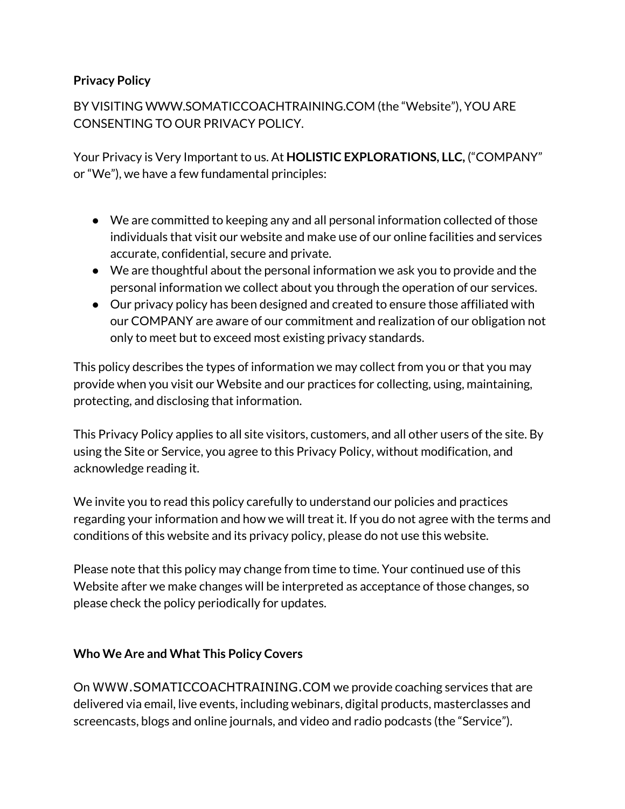### **Privacy Policy**

BY VISITING WWW.SOMATICCOACHTRAINING.COM (the "Website"), YOU ARE CONSENTING TO OUR PRIVACY POLICY.

Your Privacy is Very Important to us. At **HOLISTIC EXPLORATIONS, LLC,** ("COMPANY" or "We"), we have a few fundamental principles:

- We are committed to keeping any and all personal information collected of those individuals that visit our website and make use of our online facilities and services accurate, confidential, secure and private.
- We are thoughtful about the personal information we ask you to provide and the personal information we collect about you through the operation of our services.
- Our privacy policy has been designed and created to ensure those affiliated with our COMPANY are aware of our commitment and realization of our obligation not only to meet but to exceed most existing privacy standards.

This policy describes the types of information we may collect from you or that you may provide when you visit our Website and our practices for collecting, using, maintaining, protecting, and disclosing that information.

This Privacy Policy applies to all site visitors, customers, and all other users of the site. By using the Site or Service, you agree to this Privacy Policy, without modification, and acknowledge reading it.

We invite you to read this policy carefully to understand our policies and practices regarding your information and how we will treat it. If you do not agree with the terms and conditions of this website and its privacy policy, please do not use this website.

Please note that this policy may change from time to time. Your continued use of this Website after we make changes will be interpreted as acceptance of those changes, so please check the policy periodically for updates.

#### **Who We Are and What This Policy Covers**

On WWW.SOMATICCOACHTRAINING.COM we provide coaching services that are delivered via email, live events, including webinars, digital products, masterclasses and screencasts, blogs and online journals, and video and radio podcasts (the "Service").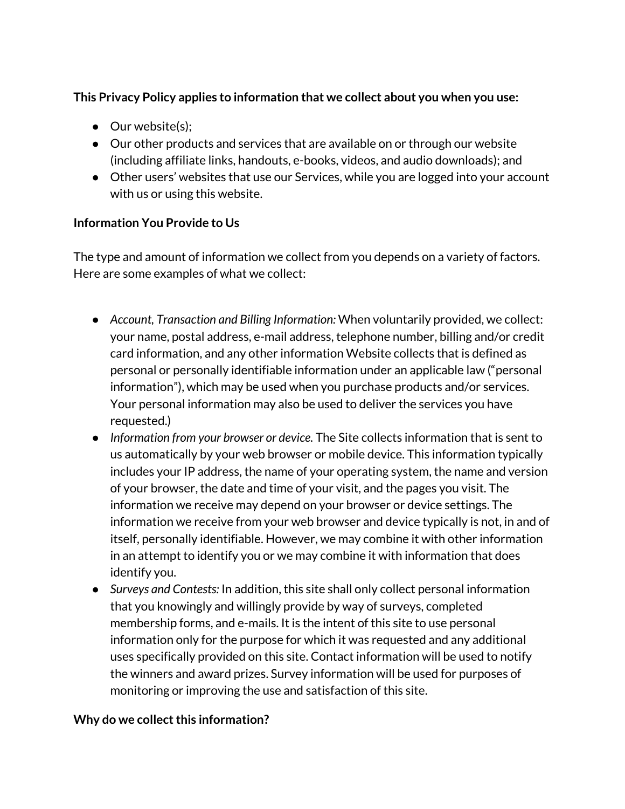## **This Privacy Policy applies to information that we collect about you when you use:**

- Our website(s);
- Our other products and services that are available on or through our website (including affiliate links, handouts, e-books, videos, and audio downloads); and
- Other users' websites that use our Services, while you are logged into your account with us or using this website.

### **Information You Provide to Us**

The type and amount of information we collect from you depends on a variety of factors. Here are some examples of what we collect:

- *Account, Transaction and Billing Information:* When voluntarily provided, we collect: your name, postal address, e-mail address, telephone number, billing and/or credit card information, and any other information Website collects that is defined as personal or personally identifiable information under an applicable law ("personal information"), which may be used when you purchase products and/or services. Your personal information may also be used to deliver the services you have requested.)
- *Information from your browser or device.* The Site collects information that is sent to us automatically by your web browser or mobile device. This information typically includes your IP address, the name of your operating system, the name and version of your browser, the date and time of your visit, and the pages you visit. The information we receive may depend on your browser or device settings. The information we receive from your web browser and device typically is not, in and of itself, personally identifiable. However, we may combine it with other information in an attempt to identify you or we may combine it with information that does identify you.
- *Surveys and Contests:* In addition, this site shall only collect personal information that you knowingly and willingly provide by way of surveys, completed membership forms, and e-mails. It is the intent of this site to use personal information only for the purpose for which it was requested and any additional uses specifically provided on this site. Contact information will be used to notify the winners and award prizes. Survey information will be used for purposes of monitoring or improving the use and satisfaction of this site.

#### **Why** do we collect this information?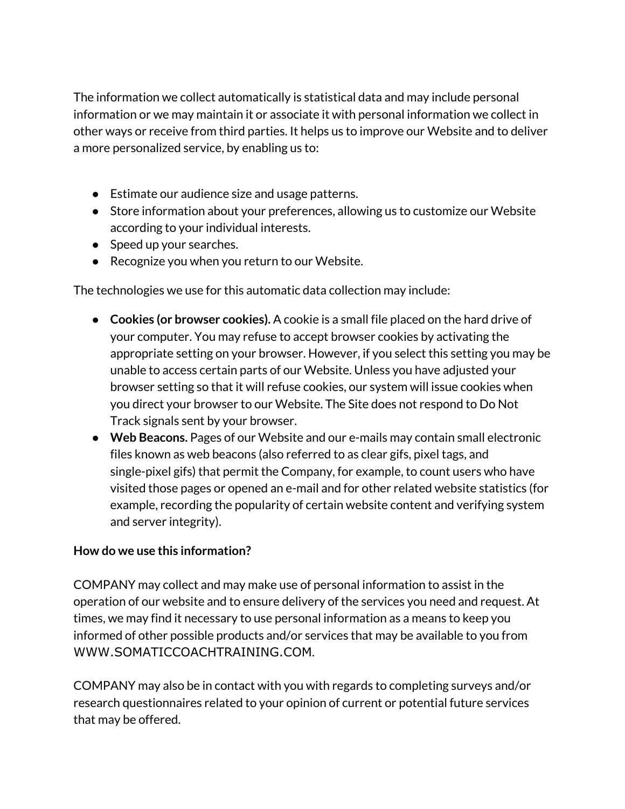The information we collect automatically is statistical data and may include personal information or we may maintain it or associate it with personal information we collect in other ways or receive from third parties. It helps us to improve our Website and to deliver a more personalized service, by enabling us to:

- Estimate our audience size and usage patterns.
- Store information about your preferences, allowing us to customize our Website according to your individual interests.
- Speed up your searches.
- Recognize you when you return to our Website.

The technologies we use for this automatic data collection may include:

- **Cookies (or browser cookies).** A cookie is a small file placed on the hard drive of your computer. You may refuse to accept browser cookies by activating the appropriate setting on your browser. However, if you select this setting you may be unable to access certain parts of our Website. Unless you have adjusted your browser setting so that it will refuse cookies, our system will issue cookies when you direct your browser to our Website. The Site does not respond to Do Not Track signals sent by your browser.
- **Web Beacons.** Pages of our Website and our e-mails may contain small electronic files known as web beacons (also referred to as clear gifs, pixel tags, and single-pixel gifs) that permit the Company, for example, to count users who have visited those pages or opened an e-mail and for other related website statistics (for example, recording the popularity of certain website content and verifying system and server integrity).

## **How do we use this information?**

COMPANY may collect and may make use of personal information to assist in the operation of our website and to ensure delivery of the services you need and request. At times, we may find it necessary to use personal information as a means to keep you informed of other possible products and/or services that may be available to you from WWW.SOMATICCOACHTRAINING.COM.

COMPANY may also be in contact with you with regards to completing surveys and/or research questionnaires related to your opinion of current or potential future services that may be offered.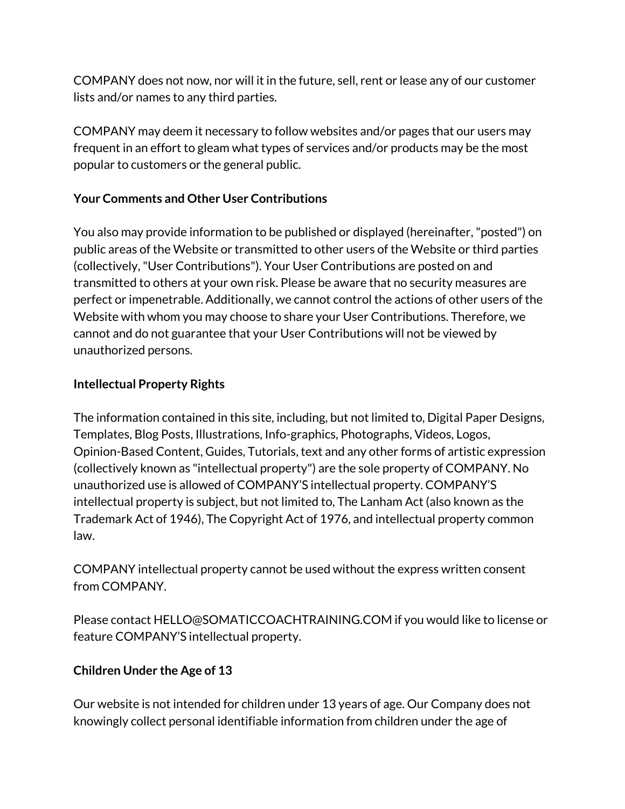COMPANY does not now, nor will it in the future, sell, rent or lease any of our customer lists and/or names to any third parties.

COMPANY may deem it necessary to follow websites and/or pages that our users may frequent in an effort to gleam what types of services and/or products may be the most popular to customers or the general public.

# **Your Comments and Other User Contributions**

You also may provide information to be published or displayed (hereinafter,"posted") on public areas of the Website or transmitted to other users of the Website or third parties (collectively,"User Contributions"). Your User Contributions are posted on and transmitted to others at your own risk. Please be aware that no security measures are perfect or impenetrable. Additionally, we cannot control the actions of other users of the Website with whom you may choose to share your User Contributions. Therefore, we cannot and do not guarantee that your User Contributions will not be viewed by unauthorized persons.

# **Intellectual Property Rights**

The information contained in this site, including, but not limited to, Digital Paper Designs, Templates, Blog Posts, Illustrations, Info-graphics, Photographs, Videos, Logos, Opinion-Based Content, Guides, Tutorials, text and any other forms of artistic expression (collectively known as "intellectual property") are the sole property of COMPANY. No unauthorized use is allowed of COMPANY'S intellectual property. COMPANY'S intellectual property is subject, but not limited to, The Lanham Act (also known as the Trademark Act of 1946), The Copyright Act of 1976, and intellectual property common law.

COMPANY intellectual property cannot be used without the express written consent from COMPANY.

Please contact HELLO@SOMATICCOACHTRAINING.COM if you would like to license or feature COMPANY'S intellectual property.

## **Children Under the Age of 13**

Our website is not intended for children under 13 years of age. Our Company does not knowingly collect personal identifiable information from children under the age of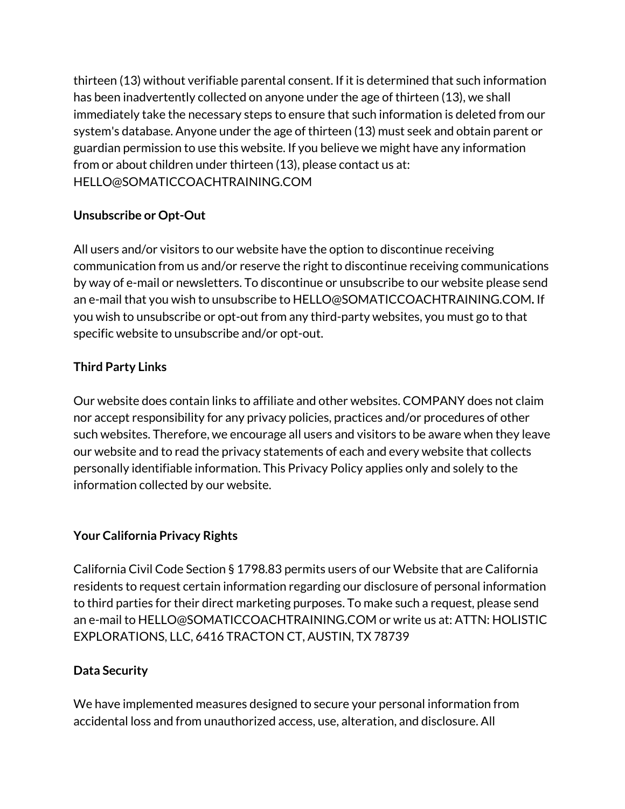thirteen (13) without verifiable parental consent. If it is determined that such information has been inadvertently collected on anyone under the age of thirteen (13), we shall immediately take the necessary steps to ensure that such information is deleted from our system's database. Anyone under the age of thirteen (13) must seek and obtain parent or guardian permission to use this website. If you believe we might have any information from or about children under thirteen (13), please contact us at: HELLO@SOMATICCOACHTRAINING.COM

# **Unsubscribe or Opt-Out**

All users and/or visitors to our website have the option to discontinue receiving communication from us and/or reserve the right to discontinue receiving communications by way of e-mail or newsletters. To discontinue or unsubscribe to our website please send an e-mail that you wish to unsubscribe to HELLO@SOMATICCOACHTRAINING.COM**.** If you wish to unsubscribe or opt-out from any third-party websites, you must go to that specific website to unsubscribe and/or opt-out.

# **Third Party Links**

Our website does contain links to affiliate and other websites. COMPANY does not claim nor accept responsibility for any privacy policies, practices and/or procedures of other such websites. Therefore, we encourage all users and visitors to be aware when they leave our website and to read the privacy statements of each and every website that collects personally identifiable information. This Privacy Policy applies only and solely to the information collected by our website.

## **Your California Privacy Rights**

California Civil Code Section § 1798.83 permits users of our Website that are California residents to request certain information regarding our disclosure of personal information to third parties for their direct marketing purposes. To make such a request, please send an e-mail to HELLO@SOMATICCOACHTRAINING.COM or write us at: ATTN: HOLISTIC EXPLORATIONS, LLC, 6416 TRACTON CT, AUSTIN, TX 78739

## **Data Security**

We have implemented measures designed to secure your personal information from accidental loss and from unauthorized access, use, alteration, and disclosure. All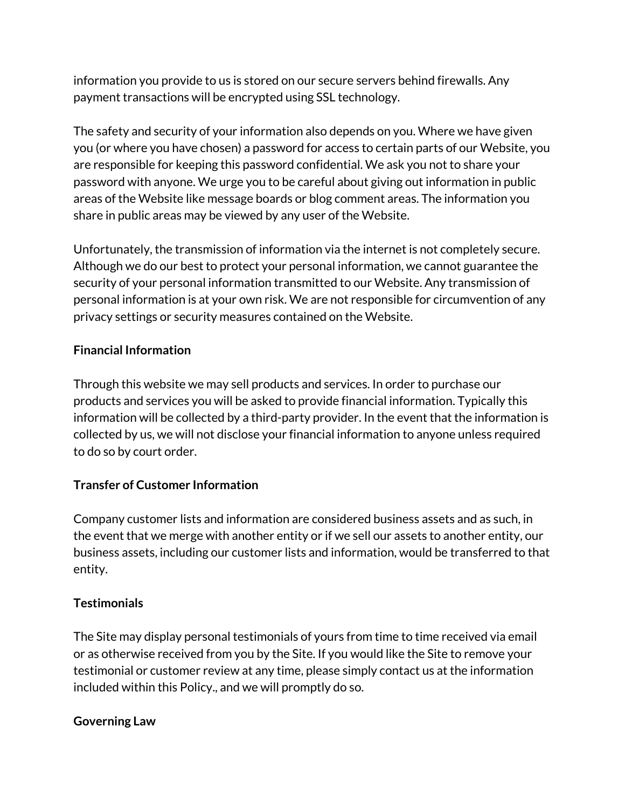information you provide to us is stored on our secure servers behind firewalls. Any payment transactions will be encrypted using SSL technology.

The safety and security of your information also depends on you. Where we have given you (or where you have chosen) a password for access to certain parts of our Website, you are responsible for keeping this password confidential. We ask you not to share your password with anyone. We urge you to be careful about giving out information in public areas of the Website like message boards or blog comment areas. The information you share in public areas may be viewed by any user of the Website.

Unfortunately, the transmission of information via the internet is not completely secure. Although we do our best to protect your personal information, we cannot guarantee the security of your personal information transmitted to our Website. Any transmission of personal information is at your own risk. We are not responsible for circumvention of any privacy settings or security measures contained on the Website.

## **Financial Information**

Through this website we may sell products and services. In order to purchase our products and services you will be asked to provide financial information. Typically this information will be collected by a third-party provider. In the event that the information is collected by us, we will not disclose your financial information to anyone unless required to do so by court order.

## **Transfer of Customer Information**

Company customer lists and information are considered business assets and as such, in the event that we merge with another entity or if we sell our assets to another entity, our business assets, including our customer lists and information, would be transferred to that entity.

## **Testimonials**

The Site may display personal testimonials of yours from time to time received via email or as otherwise received from you by the Site. If you would like the Site to remove your testimonial or customer review at any time, please simply contact us at the information included within this Policy., and we will promptly do so.

#### **Governing Law**